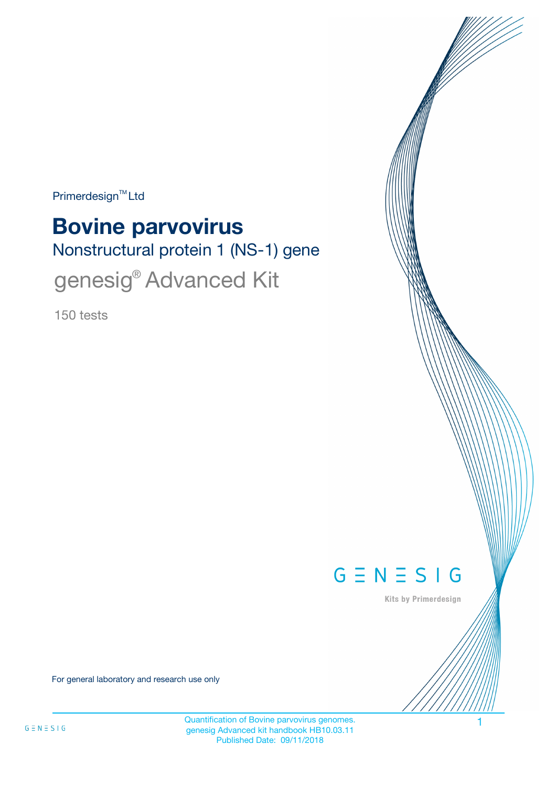Primerdesign<sup>™</sup>Ltd

# Nonstructural protein 1 (NS-1) gene **Bovine parvovirus** genesig<sup>®</sup> Advanced Kit

150 tests



Kits by Primerdesign

For general laboratory and research use only

Quantification of Bovine parvovirus genomes. genesig Advanced kit handbook HB10.03.11 Published Date: 09/11/2018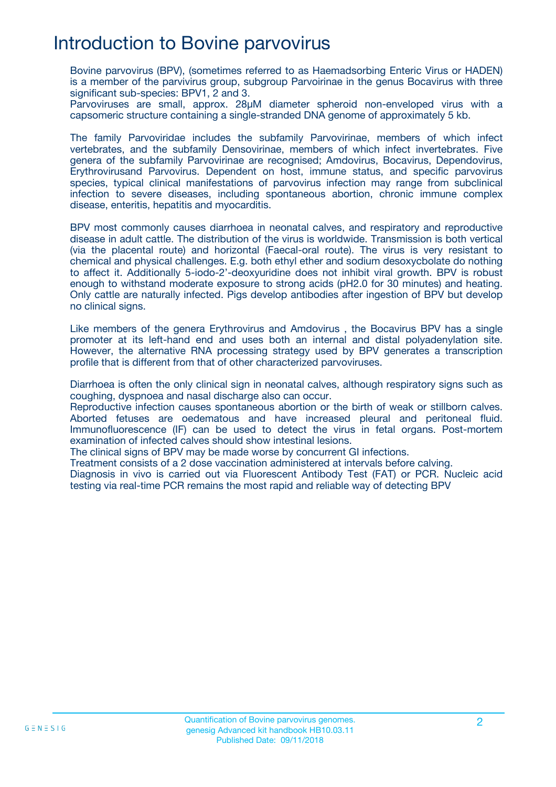## Introduction to Bovine parvovirus

Bovine parvovirus (BPV), (sometimes referred to as Haemadsorbing Enteric Virus or HADEN) is a member of the parvivirus group, subgroup Parvoirinae in the genus Bocavirus with three significant sub-species: BPV1, 2 and 3.

Parvoviruses are small, approx. 28μM diameter spheroid non-enveloped virus with a capsomeric structure containing a single-stranded DNA genome of approximately 5 kb.

The family Parvoviridae includes the subfamily Parvovirinae, members of which infect vertebrates, and the subfamily Densovirinae, members of which infect invertebrates. Five genera of the subfamily Parvovirinae are recognised; Amdovirus, Bocavirus, Dependovirus, Erythrovirusand Parvovirus. Dependent on host, immune status, and specific parvovirus species, typical clinical manifestations of parvovirus infection may range from subclinical infection to severe diseases, including spontaneous abortion, chronic immune complex disease, enteritis, hepatitis and myocarditis.

BPV most commonly causes diarrhoea in neonatal calves, and respiratory and reproductive disease in adult cattle. The distribution of the virus is worldwide. Transmission is both vertical (via the placental route) and horizontal (Faecal-oral route). The virus is very resistant to chemical and physical challenges. E.g. both ethyl ether and sodium desoxycbolate do nothing to affect it. Additionally 5-iodo-2'-deoxyuridine does not inhibit viral growth. BPV is robust enough to withstand moderate exposure to strong acids (pH2.0 for 30 minutes) and heating. Only cattle are naturally infected. Pigs develop antibodies after ingestion of BPV but develop no clinical signs.

Like members of the genera Erythrovirus and Amdovirus , the Bocavirus BPV has a single promoter at its left-hand end and uses both an internal and distal polyadenylation site. However, the alternative RNA processing strategy used by BPV generates a transcription profile that is different from that of other characterized parvoviruses.

Diarrhoea is often the only clinical sign in neonatal calves, although respiratory signs such as coughing, dyspnoea and nasal discharge also can occur.

Reproductive infection causes spontaneous abortion or the birth of weak or stillborn calves. Aborted fetuses are oedematous and have increased pleural and peritoneal fluid. Immunofluorescence (IF) can be used to detect the virus in fetal organs. Post-mortem examination of infected calves should show intestinal lesions.

The clinical signs of BPV may be made worse by concurrent GI infections.

Treatment consists of a 2 dose vaccination administered at intervals before calving.

Diagnosis in vivo is carried out via Fluorescent Antibody Test (FAT) or PCR. Nucleic acid testing via real-time PCR remains the most rapid and reliable way of detecting BPV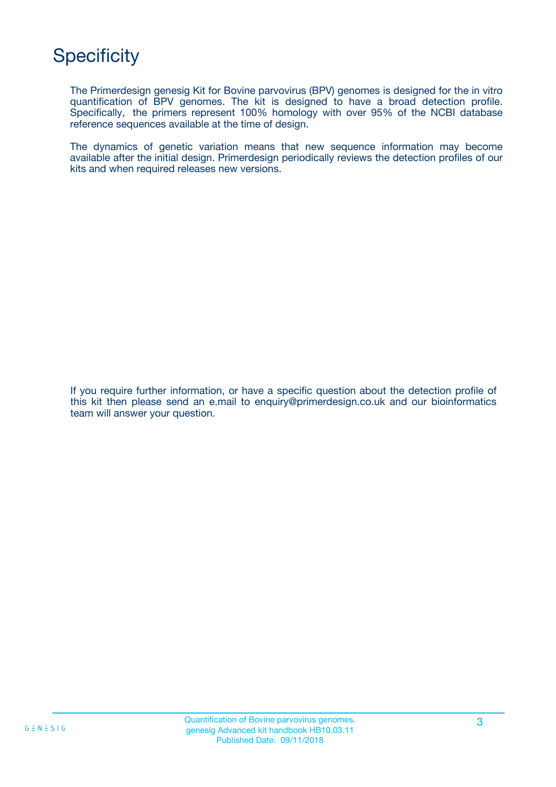## **Specificity**

The Primerdesign genesig Kit for Bovine parvovirus (BPV) genomes is designed for the in vitro quantification of BPV genomes. The kit is designed to have a broad detection profile. Specifically, the primers represent 100% homology with over 95% of the NCBI database reference sequences available at the time of design.

The dynamics of genetic variation means that new sequence information may become available after the initial design. Primerdesign periodically reviews the detection profiles of our kits and when required releases new versions.

If you require further information, or have a specific question about the detection profile of this kit then please send an e.mail to enquiry@primerdesign.co.uk and our bioinformatics team will answer your question.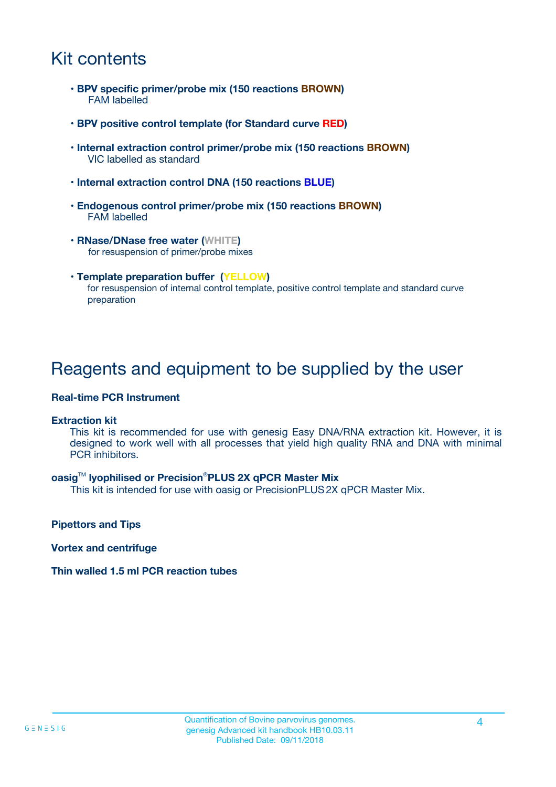## Kit contents

- **BPV specific primer/probe mix (150 reactions BROWN)** FAM labelled
- **BPV positive control template (for Standard curve RED)**
- **Internal extraction control primer/probe mix (150 reactions BROWN)** VIC labelled as standard
- **Internal extraction control DNA (150 reactions BLUE)**
- **Endogenous control primer/probe mix (150 reactions BROWN)** FAM labelled
- **RNase/DNase free water (WHITE)** for resuspension of primer/probe mixes
- **Template preparation buffer (YELLOW)** for resuspension of internal control template, positive control template and standard curve preparation

## Reagents and equipment to be supplied by the user

#### **Real-time PCR Instrument**

#### **Extraction kit**

This kit is recommended for use with genesig Easy DNA/RNA extraction kit. However, it is designed to work well with all processes that yield high quality RNA and DNA with minimal PCR inhibitors.

#### **oasig**TM **lyophilised or Precision**®**PLUS 2X qPCR Master Mix**

This kit is intended for use with oasig or PrecisionPLUS2X qPCR Master Mix.

**Pipettors and Tips**

**Vortex and centrifuge**

#### **Thin walled 1.5 ml PCR reaction tubes**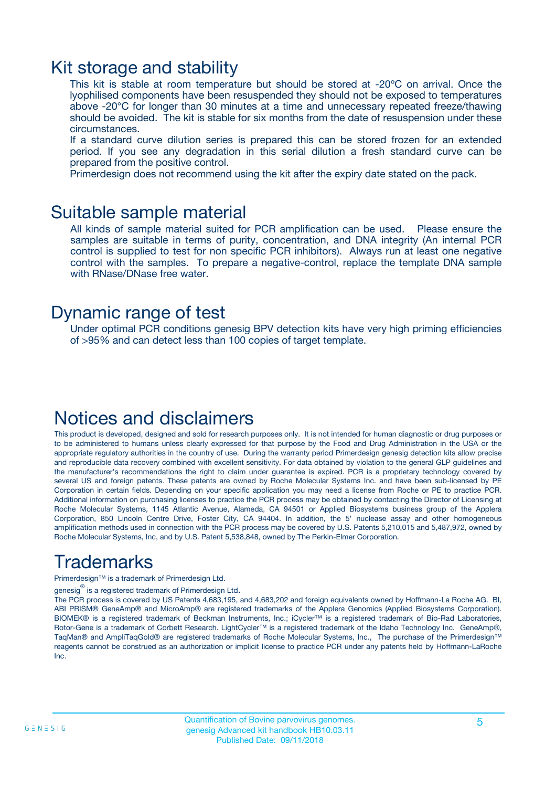### Kit storage and stability

This kit is stable at room temperature but should be stored at -20ºC on arrival. Once the lyophilised components have been resuspended they should not be exposed to temperatures above -20°C for longer than 30 minutes at a time and unnecessary repeated freeze/thawing should be avoided. The kit is stable for six months from the date of resuspension under these circumstances.

If a standard curve dilution series is prepared this can be stored frozen for an extended period. If you see any degradation in this serial dilution a fresh standard curve can be prepared from the positive control.

Primerdesign does not recommend using the kit after the expiry date stated on the pack.

### Suitable sample material

All kinds of sample material suited for PCR amplification can be used. Please ensure the samples are suitable in terms of purity, concentration, and DNA integrity (An internal PCR control is supplied to test for non specific PCR inhibitors). Always run at least one negative control with the samples. To prepare a negative-control, replace the template DNA sample with RNase/DNase free water.

### Dynamic range of test

Under optimal PCR conditions genesig BPV detection kits have very high priming efficiencies of >95% and can detect less than 100 copies of target template.

## Notices and disclaimers

This product is developed, designed and sold for research purposes only. It is not intended for human diagnostic or drug purposes or to be administered to humans unless clearly expressed for that purpose by the Food and Drug Administration in the USA or the appropriate regulatory authorities in the country of use. During the warranty period Primerdesign genesig detection kits allow precise and reproducible data recovery combined with excellent sensitivity. For data obtained by violation to the general GLP guidelines and the manufacturer's recommendations the right to claim under guarantee is expired. PCR is a proprietary technology covered by several US and foreign patents. These patents are owned by Roche Molecular Systems Inc. and have been sub-licensed by PE Corporation in certain fields. Depending on your specific application you may need a license from Roche or PE to practice PCR. Additional information on purchasing licenses to practice the PCR process may be obtained by contacting the Director of Licensing at Roche Molecular Systems, 1145 Atlantic Avenue, Alameda, CA 94501 or Applied Biosystems business group of the Applera Corporation, 850 Lincoln Centre Drive, Foster City, CA 94404. In addition, the 5' nuclease assay and other homogeneous amplification methods used in connection with the PCR process may be covered by U.S. Patents 5,210,015 and 5,487,972, owned by Roche Molecular Systems, Inc, and by U.S. Patent 5,538,848, owned by The Perkin-Elmer Corporation.

## Trademarks

Primerdesign™ is a trademark of Primerdesign Ltd.

genesig $^\circledR$  is a registered trademark of Primerdesign Ltd.

The PCR process is covered by US Patents 4,683,195, and 4,683,202 and foreign equivalents owned by Hoffmann-La Roche AG. BI, ABI PRISM® GeneAmp® and MicroAmp® are registered trademarks of the Applera Genomics (Applied Biosystems Corporation). BIOMEK® is a registered trademark of Beckman Instruments, Inc.; iCycler™ is a registered trademark of Bio-Rad Laboratories, Rotor-Gene is a trademark of Corbett Research. LightCycler™ is a registered trademark of the Idaho Technology Inc. GeneAmp®, TaqMan® and AmpliTaqGold® are registered trademarks of Roche Molecular Systems, Inc., The purchase of the Primerdesign™ reagents cannot be construed as an authorization or implicit license to practice PCR under any patents held by Hoffmann-LaRoche Inc.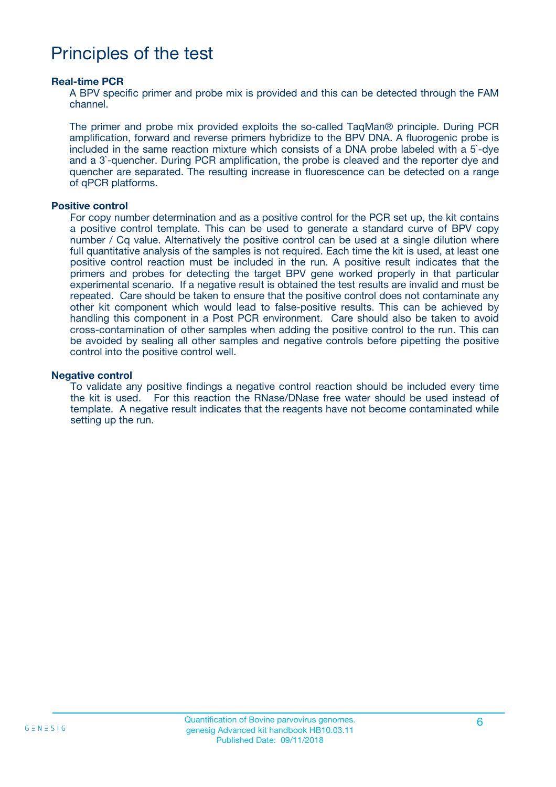## Principles of the test

#### **Real-time PCR**

A BPV specific primer and probe mix is provided and this can be detected through the FAM channel.

The primer and probe mix provided exploits the so-called TaqMan® principle. During PCR amplification, forward and reverse primers hybridize to the BPV DNA. A fluorogenic probe is included in the same reaction mixture which consists of a DNA probe labeled with a 5`-dye and a 3`-quencher. During PCR amplification, the probe is cleaved and the reporter dye and quencher are separated. The resulting increase in fluorescence can be detected on a range of qPCR platforms.

#### **Positive control**

For copy number determination and as a positive control for the PCR set up, the kit contains a positive control template. This can be used to generate a standard curve of BPV copy number / Cq value. Alternatively the positive control can be used at a single dilution where full quantitative analysis of the samples is not required. Each time the kit is used, at least one positive control reaction must be included in the run. A positive result indicates that the primers and probes for detecting the target BPV gene worked properly in that particular experimental scenario. If a negative result is obtained the test results are invalid and must be repeated. Care should be taken to ensure that the positive control does not contaminate any other kit component which would lead to false-positive results. This can be achieved by handling this component in a Post PCR environment. Care should also be taken to avoid cross-contamination of other samples when adding the positive control to the run. This can be avoided by sealing all other samples and negative controls before pipetting the positive control into the positive control well.

#### **Negative control**

To validate any positive findings a negative control reaction should be included every time the kit is used. For this reaction the RNase/DNase free water should be used instead of template. A negative result indicates that the reagents have not become contaminated while setting up the run.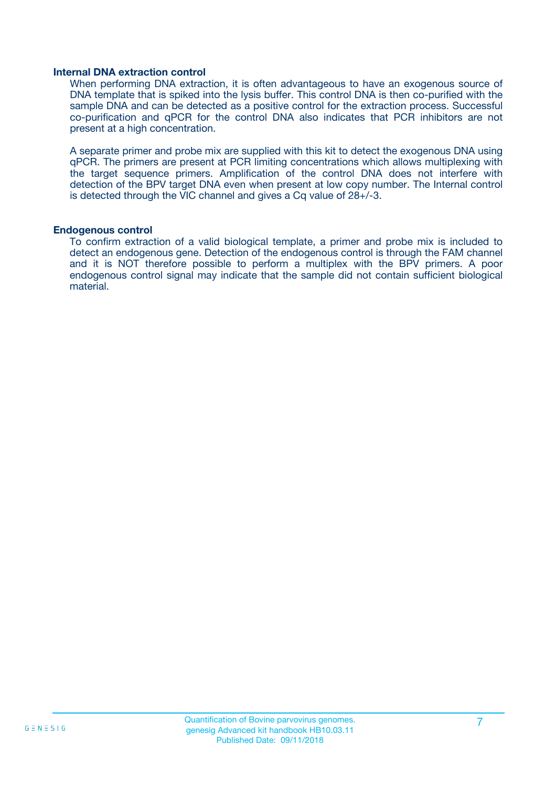#### **Internal DNA extraction control**

When performing DNA extraction, it is often advantageous to have an exogenous source of DNA template that is spiked into the lysis buffer. This control DNA is then co-purified with the sample DNA and can be detected as a positive control for the extraction process. Successful co-purification and qPCR for the control DNA also indicates that PCR inhibitors are not present at a high concentration.

A separate primer and probe mix are supplied with this kit to detect the exogenous DNA using qPCR. The primers are present at PCR limiting concentrations which allows multiplexing with the target sequence primers. Amplification of the control DNA does not interfere with detection of the BPV target DNA even when present at low copy number. The Internal control is detected through the VIC channel and gives a Cq value of 28+/-3.

#### **Endogenous control**

To confirm extraction of a valid biological template, a primer and probe mix is included to detect an endogenous gene. Detection of the endogenous control is through the FAM channel and it is NOT therefore possible to perform a multiplex with the BPV primers. A poor endogenous control signal may indicate that the sample did not contain sufficient biological material.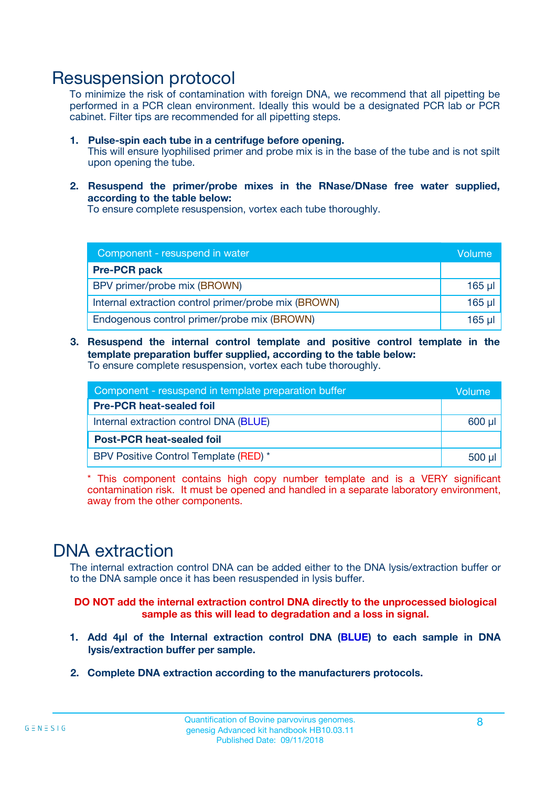### Resuspension protocol

To minimize the risk of contamination with foreign DNA, we recommend that all pipetting be performed in a PCR clean environment. Ideally this would be a designated PCR lab or PCR cabinet. Filter tips are recommended for all pipetting steps.

- **1. Pulse-spin each tube in a centrifuge before opening.** This will ensure lyophilised primer and probe mix is in the base of the tube and is not spilt upon opening the tube.
- **2. Resuspend the primer/probe mixes in the RNase/DNase free water supplied, according to the table below:**

To ensure complete resuspension, vortex each tube thoroughly.

| Component - resuspend in water                       |          |  |
|------------------------------------------------------|----------|--|
| <b>Pre-PCR pack</b>                                  |          |  |
| BPV primer/probe mix (BROWN)                         | $165$ µ  |  |
| Internal extraction control primer/probe mix (BROWN) | $165$ µl |  |
| Endogenous control primer/probe mix (BROWN)          | 165 µl   |  |

**3. Resuspend the internal control template and positive control template in the template preparation buffer supplied, according to the table below:** To ensure complete resuspension, vortex each tube thoroughly.

| Component - resuspend in template preparation buffer |          |  |  |
|------------------------------------------------------|----------|--|--|
| <b>Pre-PCR heat-sealed foil</b>                      |          |  |  |
| Internal extraction control DNA (BLUE)               |          |  |  |
| <b>Post-PCR heat-sealed foil</b>                     |          |  |  |
| BPV Positive Control Template (RED) *                | $500$ µl |  |  |

\* This component contains high copy number template and is a VERY significant contamination risk. It must be opened and handled in a separate laboratory environment, away from the other components.

## DNA extraction

The internal extraction control DNA can be added either to the DNA lysis/extraction buffer or to the DNA sample once it has been resuspended in lysis buffer.

**DO NOT add the internal extraction control DNA directly to the unprocessed biological sample as this will lead to degradation and a loss in signal.**

- **1. Add 4µl of the Internal extraction control DNA (BLUE) to each sample in DNA lysis/extraction buffer per sample.**
- **2. Complete DNA extraction according to the manufacturers protocols.**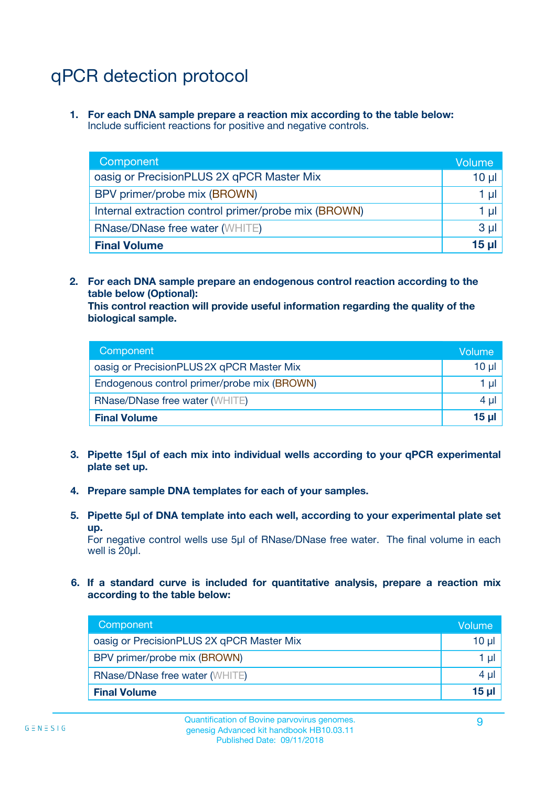## qPCR detection protocol

**1. For each DNA sample prepare a reaction mix according to the table below:** Include sufficient reactions for positive and negative controls.

| Component                                            | Volume   |
|------------------------------------------------------|----------|
| oasig or PrecisionPLUS 2X qPCR Master Mix            | $10 \mu$ |
| BPV primer/probe mix (BROWN)                         | 1 µI     |
| Internal extraction control primer/probe mix (BROWN) | 1 µl     |
| <b>RNase/DNase free water (WHITE)</b>                | $3 \mu$  |
| <b>Final Volume</b>                                  | 15 µl    |

**2. For each DNA sample prepare an endogenous control reaction according to the table below (Optional):**

**This control reaction will provide useful information regarding the quality of the biological sample.**

| Component                                   | Volume   |
|---------------------------------------------|----------|
| oasig or PrecisionPLUS 2X qPCR Master Mix   | $10 \mu$ |
| Endogenous control primer/probe mix (BROWN) | 1 µI     |
| <b>RNase/DNase free water (WHITE)</b>       | $4 \mu$  |
| <b>Final Volume</b>                         | 15 µl    |

- **3. Pipette 15µl of each mix into individual wells according to your qPCR experimental plate set up.**
- **4. Prepare sample DNA templates for each of your samples.**
- **5. Pipette 5µl of DNA template into each well, according to your experimental plate set up.**

For negative control wells use 5µl of RNase/DNase free water. The final volume in each well is 20ul.

**6. If a standard curve is included for quantitative analysis, prepare a reaction mix according to the table below:**

| Component                                 | Volume  |
|-------------------------------------------|---------|
| oasig or PrecisionPLUS 2X qPCR Master Mix | 10 µl   |
| BPV primer/probe mix (BROWN)              | 1 µI    |
| <b>RNase/DNase free water (WHITE)</b>     | $4 \mu$ |
| <b>Final Volume</b>                       | 15 µl   |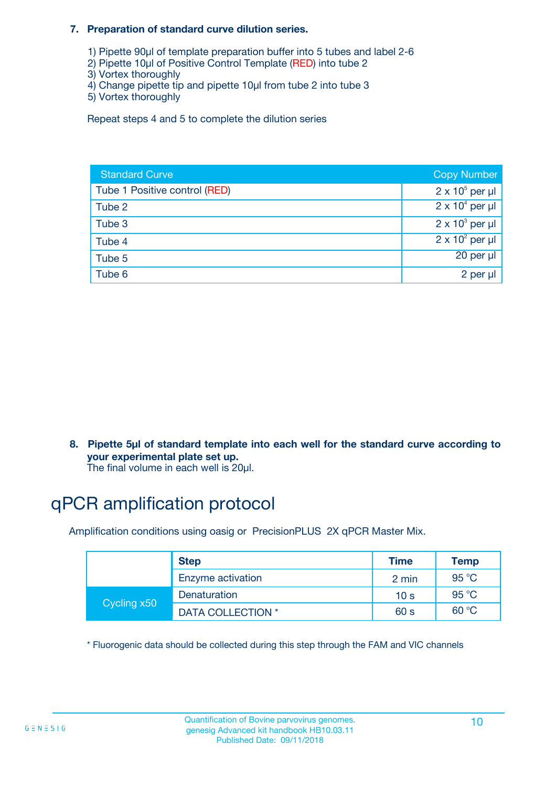#### **7. Preparation of standard curve dilution series.**

- 1) Pipette 90µl of template preparation buffer into 5 tubes and label 2-6
- 2) Pipette 10µl of Positive Control Template (RED) into tube 2
- 3) Vortex thoroughly
- 4) Change pipette tip and pipette 10µl from tube 2 into tube 3
- 5) Vortex thoroughly

Repeat steps 4 and 5 to complete the dilution series

| <b>Standard Curve</b>         | <b>Copy Number</b>     |
|-------------------------------|------------------------|
| Tube 1 Positive control (RED) | $2 \times 10^5$ per µl |
| Tube 2                        | $2 \times 10^4$ per µl |
| Tube 3                        | $2 \times 10^3$ per µl |
| Tube 4                        | $2 \times 10^2$ per µl |
| Tube 5                        | 20 per µl              |
| Tube 6                        | 2 per µl               |

**8. Pipette 5µl of standard template into each well for the standard curve according to your experimental plate set up.**

#### The final volume in each well is 20µl.

## qPCR amplification protocol

Amplification conditions using oasig or PrecisionPLUS 2X qPCR Master Mix.

|             | <b>Step</b>       | <b>Time</b>     | Temp    |
|-------------|-------------------|-----------------|---------|
|             | Enzyme activation | 2 min           | 95 °C   |
| Cycling x50 | Denaturation      | 10 <sub>s</sub> | 95 $°C$ |
|             | DATA COLLECTION * | 60 s            | 60 °C   |

\* Fluorogenic data should be collected during this step through the FAM and VIC channels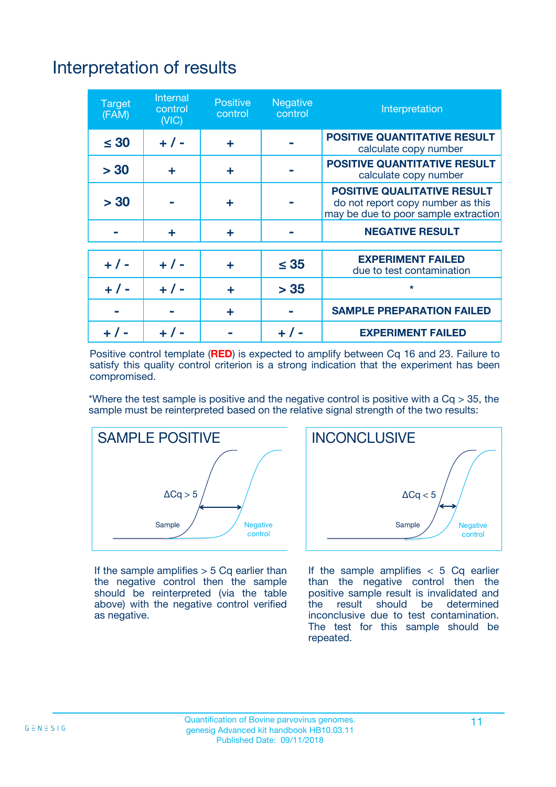## Interpretation of results

| <b>Target</b><br>(FAM) | Internal<br>control<br>(NIC) | <b>Positive</b><br>control | Negative<br>control | Interpretation                                                                                                  |
|------------------------|------------------------------|----------------------------|---------------------|-----------------------------------------------------------------------------------------------------------------|
| $\leq 30$              | $+ 1 -$                      | ÷                          |                     | <b>POSITIVE QUANTITATIVE RESULT</b><br>calculate copy number                                                    |
| > 30                   | ÷                            | ÷                          |                     | <b>POSITIVE QUANTITATIVE RESULT</b><br>calculate copy number                                                    |
| > 30                   |                              | ÷                          |                     | <b>POSITIVE QUALITATIVE RESULT</b><br>do not report copy number as this<br>may be due to poor sample extraction |
|                        | ÷                            | ÷                          |                     | <b>NEGATIVE RESULT</b>                                                                                          |
|                        |                              |                            |                     | <b>EXPERIMENT FAILED</b>                                                                                        |
| $+ 1 -$                | $+ 1 -$                      | ÷                          | $\leq 35$           | due to test contamination                                                                                       |
| $+ 1 -$                | $+ 1 -$                      | ÷                          | > 35                | $\star$                                                                                                         |
|                        |                              | ÷                          |                     | <b>SAMPLE PREPARATION FAILED</b>                                                                                |
|                        |                              |                            |                     | <b>EXPERIMENT FAILED</b>                                                                                        |

Positive control template (**RED**) is expected to amplify between Cq 16 and 23. Failure to satisfy this quality control criterion is a strong indication that the experiment has been compromised.

\*Where the test sample is positive and the negative control is positive with a  $Ca > 35$ , the sample must be reinterpreted based on the relative signal strength of the two results:



If the sample amplifies  $> 5$  Cq earlier than the negative control then the sample should be reinterpreted (via the table above) with the negative control verified as negative.



If the sample amplifies  $< 5$  Cq earlier than the negative control then the positive sample result is invalidated and<br>the result should be determined  $the$  result should be inconclusive due to test contamination. The test for this sample should be repeated.